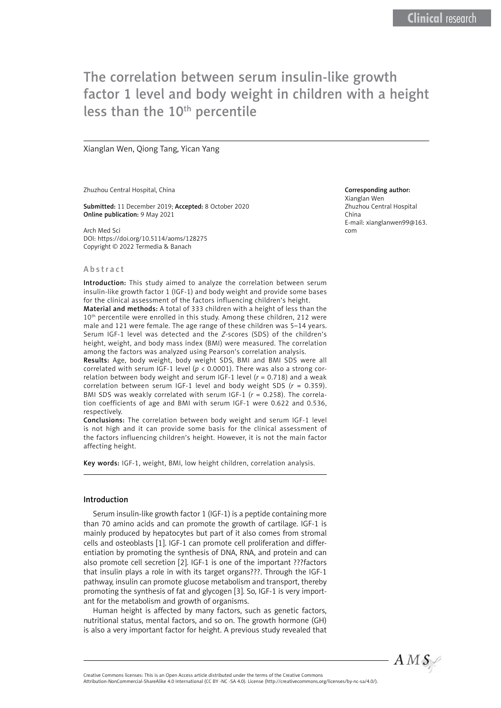# The correlation between serum insulin-like growth factor 1 level and body weight in children with a height less than the 10<sup>th</sup> percentile

Xianglan Wen, Qiong Tang, Yican Yang

Zhuzhou Central Hospital, China

Submitted: 11 December 2019; Accepted: 8 October 2020 Online publication: 9 May 2021

Arch Med Sci DOI: https://doi.org/10.5114/aoms/128275 Copyright © 2022 Termedia & Banach

#### Abstract

Introduction: This study aimed to analyze the correlation between serum insulin-like growth factor 1 (IGF-1) and body weight and provide some bases for the clinical assessment of the factors influencing children's height.

Material and methods: A total of 333 children with a height of less than the 10<sup>th</sup> percentile were enrolled in this study. Among these children, 212 were male and 121 were female. The age range of these children was 5–14 years. Serum IGF-1 level was detected and the *Z*-scores (SDS) of the children's height, weight, and body mass index (BMI) were measured. The correlation among the factors was analyzed using Pearson's correlation analysis.

Results: Age, body weight, body weight SDS, BMI and BMI SDS were all correlated with serum IGF-1 level ( $p < 0.0001$ ). There was also a strong correlation between body weight and serum IGF-1 level  $(r = 0.718)$  and a weak correlation between serum IGF-1 level and body weight SDS (*r* = 0.359). BMI SDS was weakly correlated with serum IGF-1 (*r* = 0.258). The correlation coefficients of age and BMI with serum IGF-1 were 0.622 and 0.536, respectively.

Conclusions: The correlation between body weight and serum IGF-1 level is not high and it can provide some basis for the clinical assessment of the factors influencing children's height. However, it is not the main factor affecting height.

Key words: IGF-1, weight, BMI, low height children, correlation analysis.

#### Introduction

Serum insulin-like growth factor 1 (IGF-1) is a peptide containing more than 70 amino acids and can promote the growth of cartilage. IGF-1 is mainly produced by hepatocytes but part of it also comes from stromal cells and osteoblasts [1]. IGF-1 can promote cell proliferation and differentiation by promoting the synthesis of DNA, RNA, and protein and can also promote cell secretion [2]. IGF-1 is one of the important ???factors that insulin plays a role in with its target organs???. Through the IGF-1 pathway, insulin can promote glucose metabolism and transport, thereby promoting the synthesis of fat and glycogen [3]. So, IGF-1 is very important for the metabolism and growth of organisms.

Human height is affected by many factors, such as genetic factors, nutritional status, mental factors, and so on. The growth hormone (GH) is also a very important factor for height. A previous study revealed that

#### Corresponding author:

Xianglan Wen Zhuzhou Central Hospital China E-mail: xianglanwen99@163. com



Attribution-NonCommercial-ShareAlike 4.0 International (CC BY -NC -SA 4.0). License (http://creativecommons.org/licenses/by-nc-sa/4.0/).

Creative Commons licenses: This is an Open Access article distributed under the terms of the Creative Commons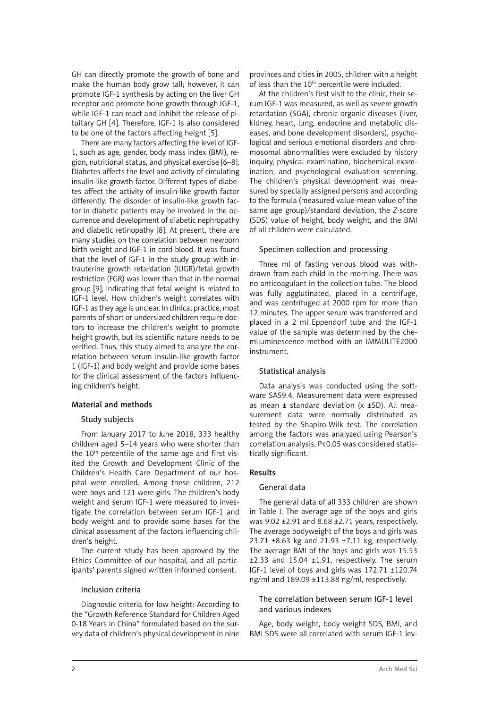GH can directly promote the growth of bone and make the human body grow tall; however, it can promote IGF-1 synthesis by acting on the liver GH receptor and promote bone growth through IGF-1, while IGF-1 can react and inhibit the release of pituitary GH [4]. Therefore, IGF-1 is also considered to be one of the factors affecting height [5].

There are many factors affecting the level of IGF-1, such as age, gender, body mass index (BMI), region, nutritional status, and physical exercise [6–8]. Diabetes affects the level and activity of circulating insulin-like growth factor. Different types of diabetes affect the activity of insulin-like growth factor differently. The disorder of insulin-like growth factor in diabetic patients may be involved in the occurrence and development of diabetic nephropathy and diabetic retinopathy [8]. At present, there are many studies on the correlation between newborn birth weight and IGF-1 in cord blood. It was found that the level of IGF-1 in the study group with intrauterine growth retardation (IUGR)/fetal growth restriction (FGR) was lower than that in the normal group [9], indicating that fetal weight is related to IGF-1 level. How children's weight correlates with IGF-1 as they age is unclear. In clinical practice, most parents of short or undersized children require doctors to increase the children's weight to promote height growth, but its scientific nature needs to be verified. Thus, this study aimed to analyze the correlation between serum insulin-like growth factor 1 (IGF-1) and body weight and provide some bases for the clinical assessment of the factors influencing children's height.

# Material and methods

# Study subjects

From January 2017 to June 2018, 333 healthy children aged 5–14 years who were shorter than the  $10<sup>th</sup>$  percentile of the same age and first visited the Growth and Development Clinic of the Children's Health Care Department of our hospital were enrolled. Among these children, 212 were boys and 121 were girls. The children's body weight and serum IGF-1 were measured to investigate the correlation between serum IGF-1 and body weight and to provide some bases for the clinical assessment of the factors influencing children's height.

The current study has been approved by the Ethics Committee of our hospital, and all participants' parents signed written informed consent.

#### Inclusion criteria

Diagnostic criteria for low height: According to the "Growth Reference Standard for Children Aged 0-18 Years in China" formulated based on the survey data of children's physical development in nine

provinces and cities in 2005, children with a height of less than the 10<sup>th</sup> percentile were included.

At the children's first visit to the clinic, their serum IGF-1 was measured, as well as severe growth retardation (SGA), chronic organic diseases (liver, kidney, heart, lung, endocrine and metabolic diseases, and bone development disorders), psychological and serious emotional disorders and chromosomal abnormalities were excluded by history inquiry, physical examination, biochemical examination, and psychological evaluation screening. The children's physical development was measured by specially assigned persons and according to the formula (measured value-mean value of the same age group)/standard deviation, the *Z*-score (SDS) value of height, body weight, and the BMI of all children were calculated.

# Specimen collection and processing

Three ml of fasting venous blood was withdrawn from each child in the morning. There was no anticoagulant in the collection tube. The blood was fully agglutinated, placed in a centrifuge, and was centrifuged at 2000 rpm for more than 12 minutes. The upper serum was transferred and placed in a 2 ml Eppendorf tube and the IGF-1 value of the sample was determined by the chemiluminescence method with an IMMULITE2000 instrument.

# Statistical analysis

Data analysis was conducted using the software SAS9.4. Measurement data were expressed as mean  $\pm$  standard deviation (x  $\pm$ SD). All measurement data were normally distributed as tested by the Shapiro-Wilk test. The correlation among the factors was analyzed using Pearson's correlation analysis. P<0.05 was considered statistically significant.

# Results

# General data

The general data of all 333 children are shown in Table I. The average age of the boys and girls was 9.02 ±2.91 and 8.68 ±2.71 years, respectively. The average bodyweight of the boys and girls was 23.71 ±8.63 kg and 21.93 ±7.11 kg, respectively. The average BMI of the boys and girls was 15.53 ±2.33 and 15.04 ±1.91, respectively. The serum IGF-1 level of boys and girls was 172.71 ±120.74 ng/ml and 189.09 ±113.88 ng/ml, respectively.

# The correlation between serum IGF-1 level and various indexes

Age, body weight, body weight SDS, BMI, and BMI SDS were all correlated with serum IGF-1 lev-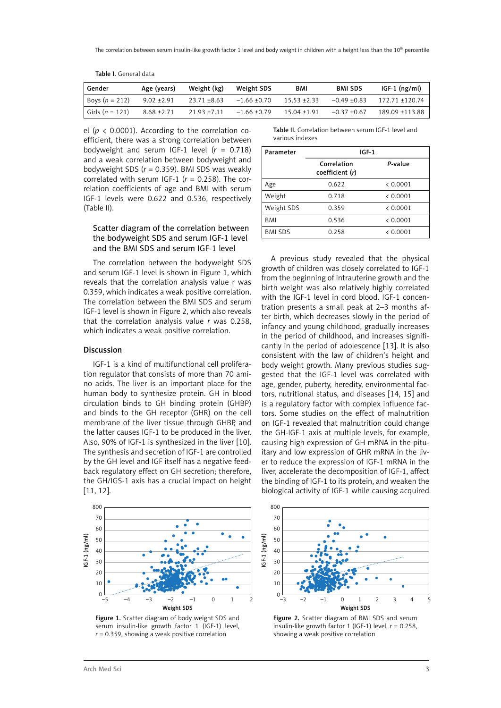| Gender              | Age (years)     | Weight (kg)    | Weight SDS       | <b>BMI</b>     | <b>BMI SDS</b> | $IGF-1$ (ng/ml) |
|---------------------|-----------------|----------------|------------------|----------------|----------------|-----------------|
| Boys $(n = 212)$    | $9.02 \pm 2.91$ | 23.71 ±8.63    | $-1.66 \pm 0.70$ | $15.53 + 2.33$ | $-0.49 + 0.83$ | 172.71 +120.74  |
| Girls ( $n = 121$ ) | $8.68 \pm 2.71$ | $21.93 + 7.11$ | $-1.66 \pm 0.79$ | $15.04 + 1.91$ | $-0.37 + 0.67$ | 189.09 ±113.88  |

Table I. General data

el ( $p \lt 0.0001$ ). According to the correlation coefficient, there was a strong correlation between bodyweight and serum IGF-1 level (*r* = 0.718) and a weak correlation between bodyweight and bodyweight SDS (*r* = 0.359). BMI SDS was weakly correlated with serum IGF-1  $(r = 0.258)$ . The correlation coefficients of age and BMI with serum IGF-1 levels were 0.622 and 0.536, respectively (Table II).

# Scatter diagram of the correlation between the bodyweight SDS and serum IGF-1 level and the BMI SDS and serum IGF-1 level

The correlation between the bodyweight SDS and serum IGF-1 level is shown in Figure 1, which reveals that the correlation analysis value r was 0.359, which indicates a weak positive correlation. The correlation between the BMI SDS and serum IGF-1 level is shown in Figure 2, which also reveals that the correlation analysis value *r* was 0.258, which indicates a weak positive correlation.

IGF-1 is a kind of multifunctional cell proliferation regulator that consists of more than 70 amino acids. The liver is an important place for the human body to synthesize protein. GH in blood circulation binds to GH binding protein (GHBP) and binds to the GH receptor (GHR) on the cell membrane of the liver tissue through GHBP, and the latter causes IGF-1 to be produced in the liver. Also, 90% of IGF-1 is synthesized in the liver [10]. The synthesis and secretion of IGF-1 are controlled by the GH level and IGF itself has a negative feedback regulatory effect on GH secretion; therefore, the GH/IGS-1 axis has a crucial impact on height

#### Table II. Correlation between serum IGF-1 level and various indexes

| IGF-1                          |          |  |
|--------------------------------|----------|--|
| Correlation<br>coefficient (r) | P-value  |  |
| 0.622                          | & 0.0001 |  |
| 0.718                          | < 0.0001 |  |
| 0.359                          | & 0.0001 |  |
| 0.536                          | < 0.0001 |  |
| 0.258                          | < 0.0001 |  |
|                                |          |  |

A previous study revealed that the physical growth of children was closely correlated to IGF-1 from the beginning of intrauterine growth and the birth weight was also relatively highly correlated with the IGF-1 level in cord blood. IGF-1 concentration presents a small peak at 2–3 months after birth, which decreases slowly in the period of infancy and young childhood, gradually increases in the period of childhood, and increases significantly in the period of adolescence [13]. It is also consistent with the law of children's height and body weight growth. Many previous studies suggested that the IGF-1 level was correlated with age, gender, puberty, heredity, environmental factors, nutritional status, and diseases [14, 15] and is a regulatory factor with complex influence factors. Some studies on the effect of malnutrition on IGF-1 revealed that malnutrition could change the GH-IGF-1 axis at multiple levels, for example, causing high expression of GH mRNA in the pituitary and low expression of GHR mRNA in the liver to reduce the expression of IGF-1 mRNA in the liver, accelerate the decomposition of IGF-1, affect the binding of IGF-1 to its protein, and weaken the biological activity of IGF-1 while causing acquired



Figure 1. Scatter diagram of body weight SDS and serum insulin-like growth factor 1 (IGF-1) level, *r* = 0.359, showing a weak positive correlation



Figure 2. Scatter diagram of BMI SDS and serum insulin-like growth factor 1 (IGF-1) level, *r* = 0.258, showing a weak positive correlation

Discussion

[11, 12].